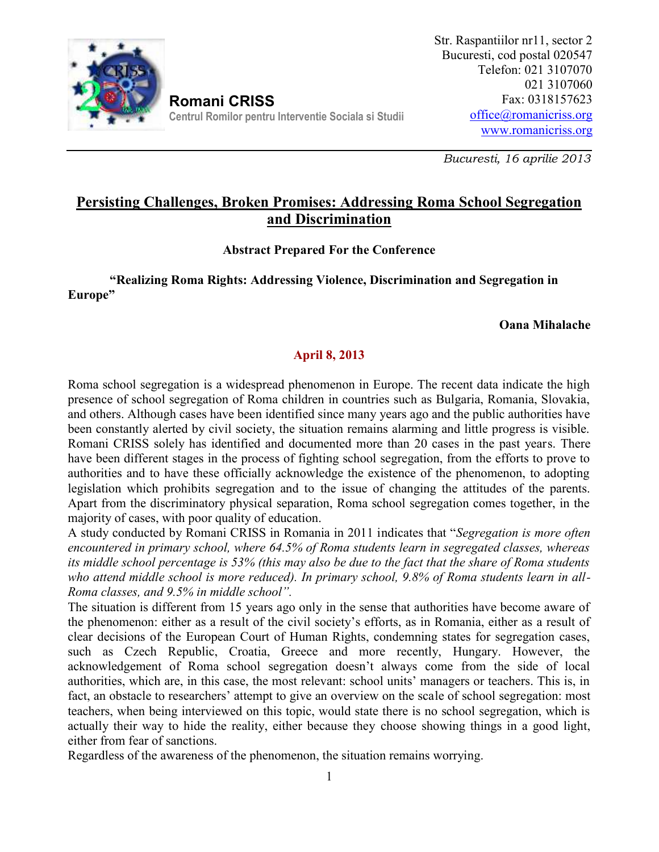

**Romani CRISS Centrul Romilor pentru Interventie Sociala si Studii** Str. Raspantiilor nr11, sector 2 Bucuresti, cod postal 020547 Telefon: 021 3107070 021 3107060 Fax: 0318157623 office@romanicriss.org www.romanicriss.org

*Bucuresti, 16 aprilie 2013*

# **Persisting Challenges, Broken Promises: Addressing Roma School Segregation and Discrimination**

### **Abstract Prepared For the Conference**

### **"Realizing Roma Rights: Addressing Violence, Discrimination and Segregation in Europe"**

#### **Oana Mihalache**

## **April 8, 2013**

Roma school segregation is a widespread phenomenon in Europe. The recent data indicate the high presence of school segregation of Roma children in countries such as Bulgaria, Romania, Slovakia, and others. Although cases have been identified since many years ago and the public authorities have been constantly alerted by civil society, the situation remains alarming and little progress is visible. Romani CRISS solely has identified and documented more than 20 cases in the past years. There have been different stages in the process of fighting school segregation, from the efforts to prove to authorities and to have these officially acknowledge the existence of the phenomenon, to adopting legislation which prohibits segregation and to the issue of changing the attitudes of the parents. Apart from the discriminatory physical separation, Roma school segregation comes together, in the majority of cases, with poor quality of education.

A study conducted by Romani CRISS in Romania in 2011 indicates that "*Segregation is more often encountered in primary school, where 64.5% of Roma students learn in segregated classes, whereas its middle school percentage is 53% (this may also be due to the fact that the share of Roma students who attend middle school is more reduced). In primary school, 9.8% of Roma students learn in all- Roma classes, and 9.5% in middle school".*

The situation is different from 15 years ago only in the sense that authorities have become aware of the phenomenon: either as a result of the civil society's efforts, as in Romania, either as a result of clear decisions of the European Court of Human Rights, condemning states for segregation cases, such as Czech Republic, Croatia, Greece and more recently, Hungary. However, the acknowledgement of Roma school segregation doesn't always come from the side of local authorities, which are, in this case, the most relevant: school units' managers or teachers. This is, in fact, an obstacle to researchers' attempt to give an overview on the scale of school segregation: most teachers, when being interviewed on this topic, would state there is no school segregation, which is actually their way to hide the reality, either because they choose showing things in a good light, either from fear of sanctions.

Regardless of the awareness of the phenomenon, the situation remains worrying.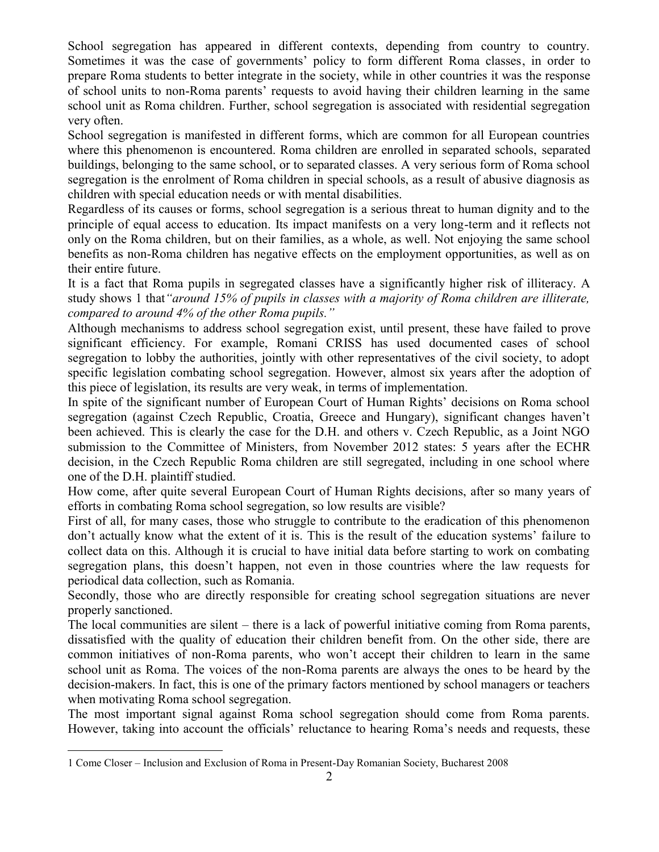School segregation has appeared in different contexts, depending from country to country. Sometimes it was the case of governments' policy to form different Roma classes, in order to prepare Roma students to better integrate in the society, while in other countries it was the response of school units to non-Roma parents' requests to avoid having their children learning in the same school unit as Roma children. Further, school segregation is associated with residential segregation very often.

School segregation is manifested in different forms, which are common for all European countries where this phenomenon is encountered. Roma children are enrolled in separated schools, separated buildings, belonging to the same school, or to separated classes. A very serious form of Roma school segregation is the enrolment of Roma children in special schools, as a result of abusive diagnosis as children with special education needs or with mental disabilities.

Regardless of its causes or forms, school segregation is a serious threat to human dignity and to the principle of equal access to education. Its impact manifests on a very long-term and it reflects not only on the Roma children, but on their families, as a whole, as well. Not enjoying the same school benefits as non-Roma children has negative effects on the employment opportunities, as well as on their entire future.

It is a fact that Roma pupils in segregated classes have a significantly higher risk of illiteracy. A study shows 1 that*"around 15% of pupils in classes with a majority of Roma children are illiterate, compared to around 4% of the other Roma pupils."*

Although mechanisms to address school segregation exist, until present, these have failed to prove significant efficiency. For example, Romani CRISS has used documented cases of school segregation to lobby the authorities, jointly with other representatives of the civil society, to adopt specific legislation combating school segregation. However, almost six years after the adoption of this piece of legislation, its results are very weak, in terms of implementation.

In spite of the significant number of European Court of Human Rights' decisions on Roma school segregation (against Czech Republic, Croatia, Greece and Hungary), significant changes haven't been achieved. This is clearly the case for the D.H. and others v. Czech Republic, as a Joint NGO submission to the Committee of Ministers, from November 2012 states: 5 years after the ECHR decision, in the Czech Republic Roma children are still segregated, including in one school where one of the D.H. plaintiff studied.

How come, after quite several European Court of Human Rights decisions, after so many years of efforts in combating Roma school segregation, so low results are visible?

First of all, for many cases, those who struggle to contribute to the eradication of this phenomenon don't actually know what the extent of it is. This is the result of the education systems' failure to collect data on this. Although it is crucial to have initial data before starting to work on combating segregation plans, this doesn't happen, not even in those countries where the law requests for periodical data collection, such as Romania.

Secondly, those who are directly responsible for creating school segregation situations are never properly sanctioned.

The local communities are silent – there is a lack of powerful initiative coming from Roma parents, dissatisfied with the quality of education their children benefit from. On the other side, there are common initiatives of non-Roma parents, who won't accept their children to learn in the same school unit as Roma. The voices of the non-Roma parents are always the ones to be heard by the decision-makers. In fact, this is one of the primary factors mentioned by school managers or teachers when motivating Roma school segregation.

The most important signal against Roma school segregation should come from Roma parents. However, taking into account the officials' reluctance to hearing Roma's needs and requests, these

<sup>1</sup> Come Closer – Inclusion and Exclusion of Roma in Present-Day Romanian Society, Bucharest 2008